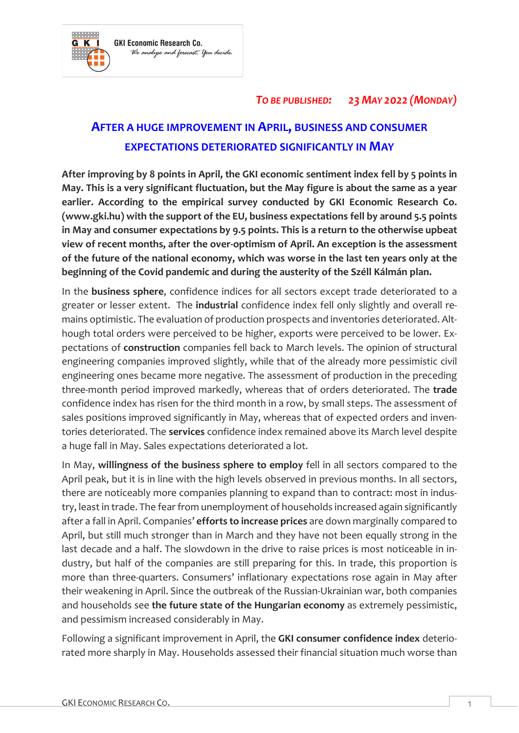

## *TO BE PUBLISHED: 23 MAY 2022 (MONDAY)*

## **AFTER A HUGE IMPROVEMENT IN APRIL, BUSINESS AND CONSUMER EXPECTATIONS DETERIORATED SIGNIFICANTLY IN MAY**

**After improving by 8 points in April, the GKI economic sentiment index fell by 5 points in May. This is a very significant fluctuation, but the May figure is about the same as a year earlier. According to the empirical survey conducted by GKI Economic Research Co. (www.gki.hu) with the support of the EU, business expectations fell by around 5.5 points in May and consumer expectations by 9.5 points. This is a return to the otherwise upbeat view of recent months, after the over-optimism of April. An exception is the assessment of the future of the national economy, which was worse in the last ten years only at the beginning of the Covid pandemic and during the austerity of the Széll Kálmán plan.**

In the **business sphere**, confidence indices for all sectors except trade deteriorated to a greater or lesser extent. The **industrial** confidence index fell only slightly and overall remains optimistic. The evaluation of production prospects and inventories deteriorated. Although total orders were perceived to be higher, exports were perceived to be lower. Expectations of **construction** companies fell back to March levels. The opinion of structural engineering companies improved slightly, while that of the already more pessimistic civil engineering ones became more negative. The assessment of production in the preceding three-month period improved markedly, whereas that of orders deteriorated. The **trade** confidence index has risen for the third month in a row, by small steps. The assessment of sales positions improved significantly in May, whereas that of expected orders and inventories deteriorated. The **services** confidence index remained above its March level despite a huge fall in May. Sales expectations deteriorated a lot.

In May, **willingness of the business sphere to employ** fell in all sectors compared to the April peak, but it is in line with the high levels observed in previous months. In all sectors, there are noticeably more companies planning to expand than to contract: most in industry, least in trade. The fear from unemployment of households increased again significantly after a fall in April. Companies' **efforts to increase prices** are down marginally compared to April, but still much stronger than in March and they have not been equally strong in the last decade and a half. The slowdown in the drive to raise prices is most noticeable in industry, but half of the companies are still preparing for this. In trade, this proportion is more than three-quarters. Consumers' inflationary expectations rose again in May after their weakening in April. Since the outbreak of the Russian-Ukrainian war, both companies and households see **the future state of the Hungarian economy** as extremely pessimistic, and pessimism increased considerably in May.

Following a significant improvement in April, the **GKI consumer confidence index** deteriorated more sharply in May. Households assessed their financial situation much worse than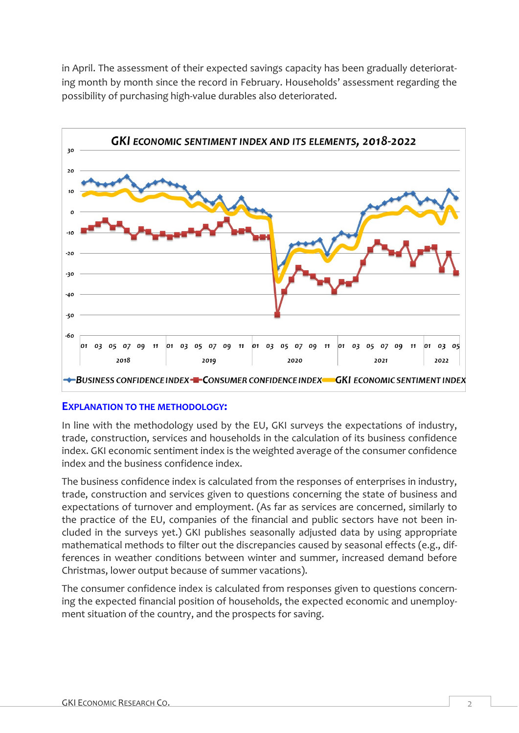in April. The assessment of their expected savings capacity has been gradually deteriorating month by month since the record in February. Households' assessment regarding the possibility of purchasing high-value durables also deteriorated.



## **EXPLANATION TO THE METHODOLOGY:**

In line with the methodology used by the EU, GKI surveys the expectations of industry, trade, construction, services and households in the calculation of its business confidence index. GKI economic sentiment index is the weighted average of the consumer confidence index and the business confidence index.

The business confidence index is calculated from the responses of enterprises in industry, trade, construction and services given to questions concerning the state of business and expectations of turnover and employment. (As far as services are concerned, similarly to the practice of the EU, companies of the financial and public sectors have not been included in the surveys yet.) GKI publishes seasonally adjusted data by using appropriate mathematical methods to filter out the discrepancies caused by seasonal effects (e.g., differences in weather conditions between winter and summer, increased demand before Christmas, lower output because of summer vacations).

The consumer confidence index is calculated from responses given to questions concerning the expected financial position of households, the expected economic and unemployment situation of the country, and the prospects for saving.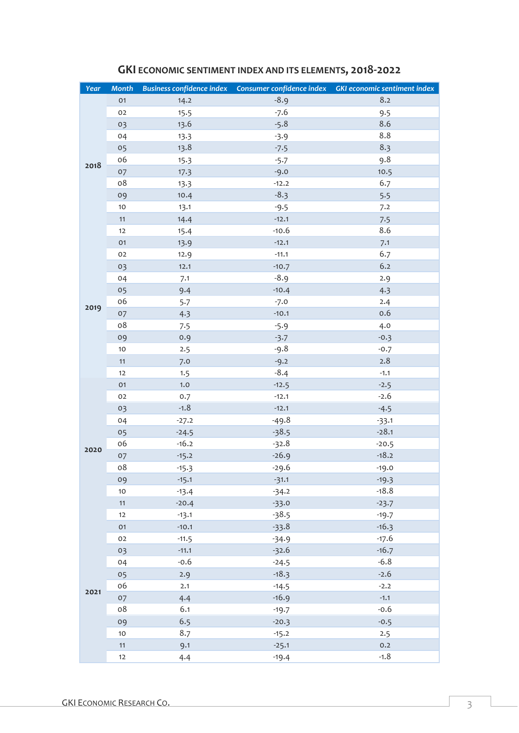| Year | <b>Month</b> |         |         | Business confidence index  Consumer confidence index  GKI economic sentiment index |
|------|--------------|---------|---------|------------------------------------------------------------------------------------|
|      | 01           | 14.2    | $-8.9$  | 8.2                                                                                |
| 2018 | 02           | 15.5    | $-7.6$  | 9.5                                                                                |
|      | 03           | 13.6    | $-5.8$  | 8.6                                                                                |
|      | 04           | 13.3    | $-3.9$  | 8.8                                                                                |
|      | 05           | 13.8    | $-7.5$  | 8.3                                                                                |
|      | 06           | 15.3    | $-5.7$  | 9.8                                                                                |
|      | 07           | 17.3    | $-9.0$  | 10.5                                                                               |
|      | 08           | 13.3    | $-12.2$ | 6.7                                                                                |
|      | 09           | 10.4    | $-8.3$  | 5.5                                                                                |
|      | 10           | 13.1    | $-9.5$  | 7.2                                                                                |
|      | 11           | 14.4    | $-12.1$ | 7.5                                                                                |
|      | 12           | 15.4    | $-10.6$ | 8.6                                                                                |
|      | 01           | 13.9    | $-12.1$ | 7.1                                                                                |
|      | 02           | 12.9    | $-11.1$ | 6.7                                                                                |
|      | 03           | 12.1    | $-10.7$ | 6.2                                                                                |
| 2019 | 04           | 7.1     | $-8.9$  | 2.9                                                                                |
|      | 05           | 9.4     | $-10.4$ | 4.3                                                                                |
|      | 06           | 5.7     | $-7.0$  | 2.4                                                                                |
|      | 07           | 4.3     | $-10.1$ | 0.6                                                                                |
|      | 08           | 7.5     | $-5.9$  | 4.0                                                                                |
|      | 09           | 0.9     | $-3.7$  | $-0.3$                                                                             |
|      | 10           | 2.5     | $-9.8$  | $-0.7$                                                                             |
|      | 11           | 7.0     | $-9.2$  | 2.8                                                                                |
|      | 12           | 1.5     | $-8.4$  | $-1.1$                                                                             |
|      | 01           | 1.0     | $-12.5$ | $-2.5$                                                                             |
|      | 02           | 0.7     | $-12.1$ | $-2.6$                                                                             |
|      | 03           | $-1.8$  | $-12.1$ | $-4.5$                                                                             |
|      | 04           | $-27.2$ | $-49.8$ | $-33.1$                                                                            |
|      | 05           | $-24.5$ | $-38.5$ | $-28.1$                                                                            |
| 2020 | 06           | $-16.2$ | $-32.8$ | $-20.5$                                                                            |
|      | 07           | $-15.2$ | $-26.9$ | $-18.2$                                                                            |
|      | 08           | $-15.3$ | $-29.6$ | $-19.0$                                                                            |
|      | 09           | $-15.1$ | $-31.1$ | $-19.3$                                                                            |
|      | 10           | $-13.4$ | $-34.2$ | $-18.8$                                                                            |
|      | 11           | $-20.4$ | $-33.0$ | $-23.7$                                                                            |
|      | 12           | $-13.1$ | $-38.5$ | $-19.7$                                                                            |
|      | 01           | $-10.1$ | $-33.8$ | $-16.3$                                                                            |
|      | 02           | $-11.5$ | $-34.9$ | $-17.6$                                                                            |
| 2021 | 03           | $-11.1$ | $-32.6$ | $-16.7$                                                                            |
|      | 04           | $-0.6$  | $-24.5$ | $-6.8$                                                                             |
|      | 05           | 2.9     | $-18.3$ | $-2.6$                                                                             |
|      | 06           | 2.1     | $-14.5$ | $-2.2$                                                                             |
|      | 07           | 4.4     | $-16.9$ | $-1.1$                                                                             |
|      | 08           | 6.1     | $-19.7$ | $-0.6$                                                                             |
|      | 09           | 6.5     | $-20.3$ | $-0.5$                                                                             |
|      | 10           | 8.7     | $-15.2$ | 2.5                                                                                |
|      | 11           | 9.1     | $-25.1$ | 0.2                                                                                |
|      | 12           | 4.4     | $-19.4$ | $-1.8$                                                                             |

## **GKI ECONOMIC SENTIMENT INDEX AND ITS ELEMENTS, 2018-2022**